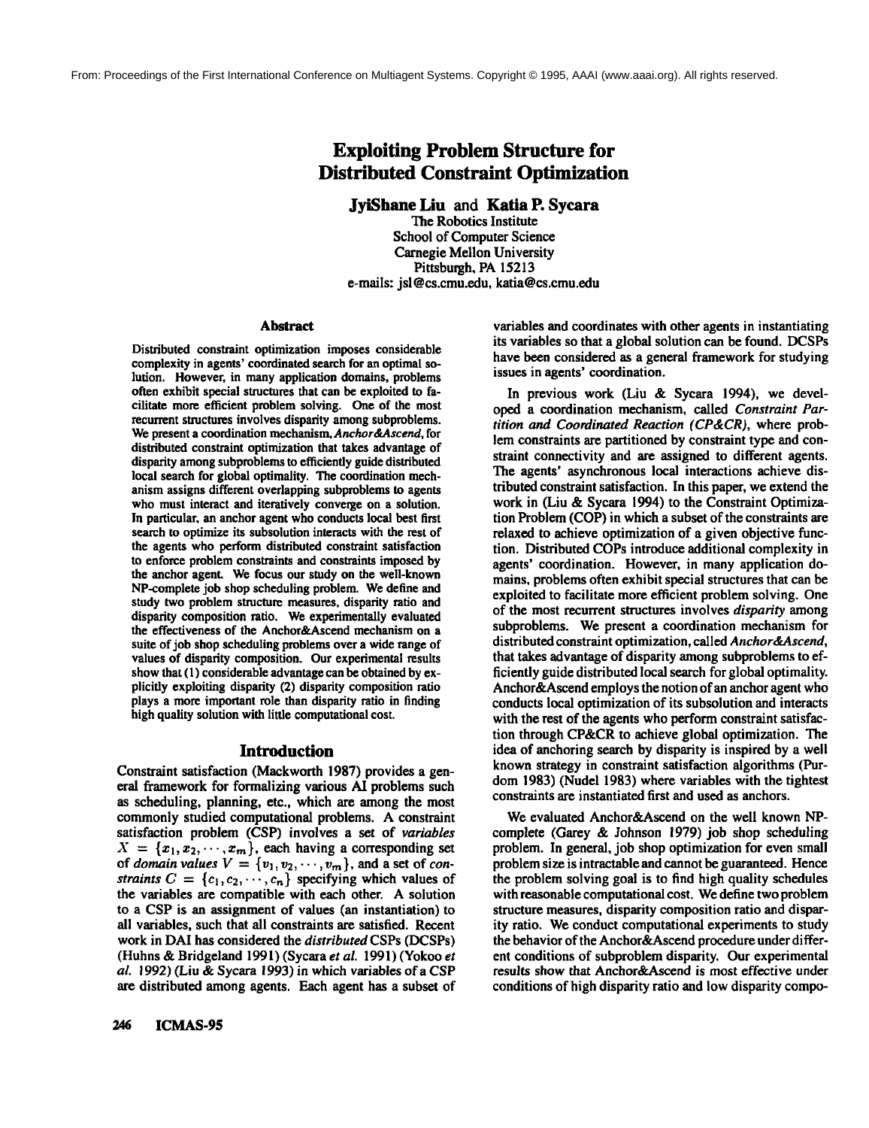# **Exploiting Problem Structure for Distributed Constraint Optimization**

JyiShane Liu and Katia P, Sycara

The Robotics Institute School of Computer Science Carnegie Mellon University Pittsburgh, PA 15213 e-mails: jsl@cs.cmu.edu, katia@cs.cmu.edu

### Abstract

Distributed constraint optimization imposes considerable complexity in agents' coordinated search for an optimal solution. However, in many application domains, problems often exhibit special structures that can be exploited to facilitate more efficient problem solving. One of the most recurrent structures involves disparity among subproblems. We present a coordination mechanism, *Anchor&Ascend,* for distributed constraint optimization that takes advantage of disparity among subproblems to efficiently guide distributed local search for global optimality. The coordination mechanism assigns different overlapping subproblems to agents who must interact and iteratively converge on a solution. In particular, an anchor agent who conducts local best first search to optimize its subsolution interacts with the rest of the agents who perform distributed constraint satisfaction to enforce problem constraints and constraints imposed by the anchor agent. We focus our study on the well-known NP-complete job shop scheduling problem. We define and study two problem structure measures, disparity ratio and disparity composition ratio. We experimentally evaluated the effectiveness of the Anchor&Ascend mechanism on a suite of job shop scheduling problems over a wide range of values of disparity composition. Our experimental results show that (1) considerable advantage can be obtained by explicitly exploiting disparity (2) disparity composition ratio plays a more important role than disparity ratio in finding high quality solution with little computational cost.

#### Introduction

Constraint satisfaction (Mackworth 1987) provides a general framework for formalizing various AI problems such as scheduling, planning, etc., which are among the most commonly studied computational problems. A constraint satisfaction problem (CSP) involves a set of *variables*  $X = \{x_1, x_2, \dots, x_m\}$ , each having a corresponding set of *domain values*  $V = \{v_1, v_2, \dots, v_m\}$ , and a set of *constraints*  $C = \{c_1, c_2, \dots, c_n\}$  specifying which values of the variables are compatible with each other. A solution to a CSP is an assignment of values (an instantiation) all variables, such that all constraints are satisfied. Recent work in DAI has considered the *distributed* CSPs (DCSPs) (Huhns & Bridgeland 1991) (Sycara *et al.* 1991) (Yokoo *et* al. 1992) (Liu & Sycara 1993) in which variables of a CSP are distributed among agents. Each agent has a subset of

246 **ICMAS-95**

variables and coordinates with other agents in instantiating its variables so that a global solution can be found. DCSPs have been considered as a general framework for studying issues in agents' coordination.

In previous work (Liu & Sycara 1994), we developed a coordination mechanism, called *Constraint Partition and Coordinated Reaction ( CP&CR),* where problem constraints are partitioned by constraint type and constraint connectivity and are assigned to different agents. The agents' asynchronous local interactions achieve distributed constraint satisfaction. In this paper, we extend the work in (Liu & Sycara 1994) to the Constraint Optimization Problem (COP) in which a subset of the constraints are relaxed to achieve optimization of a given objective function. Distributed COPs introduce additional complexity in agents' coordination. However, in many application domains, problems often exhibit special structures that can be exploited to facilitate more efficient problem solving. One of the most recurrent structures involves *disparity* among subproblems. We present a coordination mechanism for distributed constraint optimization, called *Anchor&Ascend,* that takes advantage of disparity among subproblems to efficiently guide distributed local search for global optimality. Anchor&Ascend employs the notion of an anchor agent who conducts local optimization of its subsolution and interacts with the rest of the agents who perform constraint satisfaction through CP&CR to achieve global optimization. The idea of anchoring search by disparity is inspired by a well known strategy in constraint satisfaction algorithms (Purdom 1983) (Nudel 1983) where variables with the tightest constraints are instantiated first and used as anchors.

We evaluated Anchor&Ascend on the well known NPcomplete (Garey & Johnson 1979) job shop scheduling problem. In general, job shop optimization for even small problem size is intractable and cannot be guaranteed. Hence the problem solving goal is to find high quality schedules with reasonable computational cost. We define two problem structure measures, disparity composition ratio and disparity ratio. We conduct computational experiments to study the behavior of the Anchor&Ascend procedure under different conditions of subproblem disparity. Our experimental results show that Anchor&Ascend is most effective under conditions of high disparity ratio and low disparity compo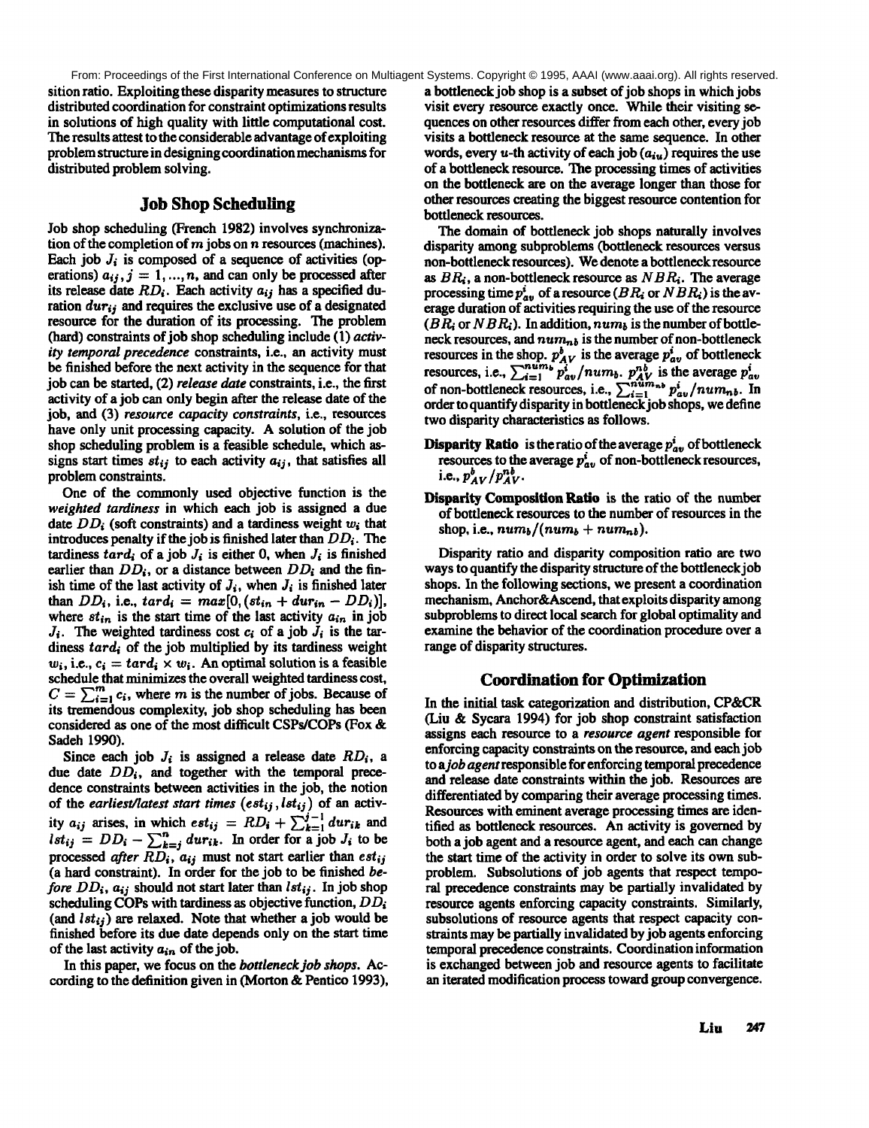sition ratio. Exploiting these disparity measures to structure distributed coordination for constraint optimizations results in solutions of high quality with little computational cost. The results attest to the considerable advantage of exploiting problem structure in designing coordination mechanisms for distributed problem solving.

## **Job Shop** Scheduling

Job shop scheduling (French 1982) involves synchronization of the completion of  $m$  jobs on  $n$  resources (machines). Each job  $J_i$  is composed of a sequence of activities (operations)  $a_{ij}$ ,  $j = 1, ..., n$ , and can only be processed after its release date  $RD_i$ . Each activity  $a_{ij}$  has a specified duration *dur<sub>ij</sub>* and requires the exclusive use of a designated resource for the duration of its processing. The problem (hard) constraints of job shop scheduling include (1) *activity temporal precedence* constraints, i.e., an activity must be finished before the next activity in the sequence for that job can be started, (2) *release date* constraints, i.e., the first activity of a job can only begin after the release date of the job, and (3) *resource capacity constraints,* i.e., resources have only unit processing capacity. A solution of the job shop scheduling problem is a feasible schedule, which assigns start times  $st_{ij}$  to each activity  $a_{ij}$ , that satisfies all problem constraints.

One of the commonly used objective function is the *weighted tardiness* in which each job is assigned a due date *DDi* (soft constraints) and a tardiness weight *wi* that introduces penalty if the job is finished later than *DDi. The* tardiness  $tard_i$  of a job  $J_i$  is either 0, when  $J_i$  is finished earlier than  $DD_i$ , or a distance between  $DD_i$  and the finish time of the last activity of  $J_i$ , when  $J_i$  is finished later *than*  $DD_i$ *, i.e.,*  $\text{tar}d_i = \max[0, (\text{st}_{in} + \text{dur}_{in} - DD_i)],$ where  $st_{in}$  is the start time of the last activity  $a_{in}$  in job  $J_i$ . The weighted tardiness cost  $c_i$  of a job  $J_i$  is the tardiness *tard*; of the job multiplied by its tardiness weight  $w_i$ , i.e.,  $c_i = \text{tard}_i \times w_i$ . An optimal solution is a feasible schedule that minimizes the overall weighted tardiness cost,  $C = \sum_{i=1}^{m} c_i$ , where m is the number of jobs. Because of its tremendous complexity, job shop scheduling has been considered as one of the most difficult CSPs/COPs (Fox Sadeh 1990).

Since each job  $J_i$  is assigned a release date  $RD_i$ , a due date *DDi,* and together with the temporal precedence constraints between activities in the job, the notion of the *earliest/latest start times* (est<sub>ij</sub>, lst<sub>ij</sub>) of an activ*ity*  $a_{ij}$  arises, in which  $est_{ij} = RD_i + \sum_{k=1}^{j-1} dur_{ik}$  and  $1st_{ij} = DD_i - \sum_{k=j}^{n} dur_{ik}$ . In order for a job  $J_i$  to be processed *after RD<sub>i</sub>*,  $a_{ij}$  must not start earlier than est<sub>ij</sub> (a hard constraint). In order for the job to be finished *before*  $DD_i$ *,*  $a_{ij}$  should not start later than  $lst_{ij}$ . In job shop scheduling COPs with tardiness as objective function, *DDi* (and  $lst_{ij}$ ) are relaxed. Note that whether a job would be finished before its due date depends only on the start time of the last activity *ain* of the job.

In this paper, we focus on the *bottleneck job shops.* According to the definition given in (Morton & Pentico 1993), a bottleneck job shop is a subset of job shops in which jobs visit every resource exactly once. While their visiting sequences on other resources differ from each other, every job visits a bottleneck resource at the same sequence. In other words, every u-th activity of each job *(aiu)* requires the use of a bottleneck resource. The processing times of activities on the bottleneck are on the average longer than those for other resources creating the biggest resource contention for bottleneck resources.

The domain of bottleneck job shops naturally involves disparity among subproblems (bottleneck resources versus non-bottleneck resources). We denote a bottleneck resource as  $BR_i$ , a non-bottleneck resource as  $NBR_i$ . The average processing time  $p^i_{av}$  of a resource ( $BR_i$  or  $NBR_i$ ) is the average duration of activities requiring the use of the resource  $(B_{\mathcal{R}_i}$  or  $NBR_i$ ). In addition,  $num_b$  is the number of bottleneck resources, and *num, b* is the number of non-bottleneck resources in the shop.  $p_{AV}^b$  is the average  $p_{av}^b$  of bottleneck resources, i.e.,  $\sum_{i=1}^{num_b} p_{av}^i / num_b$ .  $p_{AV}^b$  is the average  $p_{av}^i$ of non-bottleneck resources, i.e.,  $\sum_{i=1}^{num_{nb}} p_{av}^{i}/num_{nb}$ . In order to quantify disparity in bottleneck job shops, we define two disparity characteristics as follows.

- **Disparity Ratio** is the ratio of the average  $p_{av}^i$  of bottleneck resources to the average  $p^i_{av}$  of non-bottleneck resources, i.e.,  $p_{AV}^{b}/p_{AV}^{no}$ .
- Disparity Composition Ratio is the ratio of the number of bottleneck resources to the number of resources in the shop, i.e.,  $num_b/(num_b + num_{nb}).$

Disparity ratio and disparity composition ratio are two ways to quantify the disparity structure of the bottleneck job shops. In the following sections, we present a coordination mechanism, Anchor&Ascend, that exploits disparity among subproblems to direct local search for global optimality and examine the behavior of the coordination procedure over a range of disparity structures.

### **Coordination for Optimization**

In the initial task categorization and distribution, CP&CR (Liu & Sycara 1994) for job shop constraint satisfaction assigns each resource to a *resource agent* responsible for enforcing capacity constraints on the resource, and each job to *a job agent* responsible for enforcing temporal precedence and release date constraints within the job. Resources are differentiated by comparing their average processing times. Resources with eminent average processing times are identiffed as bottleneck resources. An activity is governed by both a job agent and a resource agent, and each can change the start time of the activity in order to solve its own subproblem. Subsolutions of job agents that respect temporal precedence constraints may be partially invalidated by resource agents enforcing capacity constraints. Similarly, subsolutions of resource agents that respect capacity constraints may be partially invalidated by job agents enforcing temporal precedence constraints. Coordination information is exchanged between job and resource agents to facilitate an iterated modification process toward group convergence.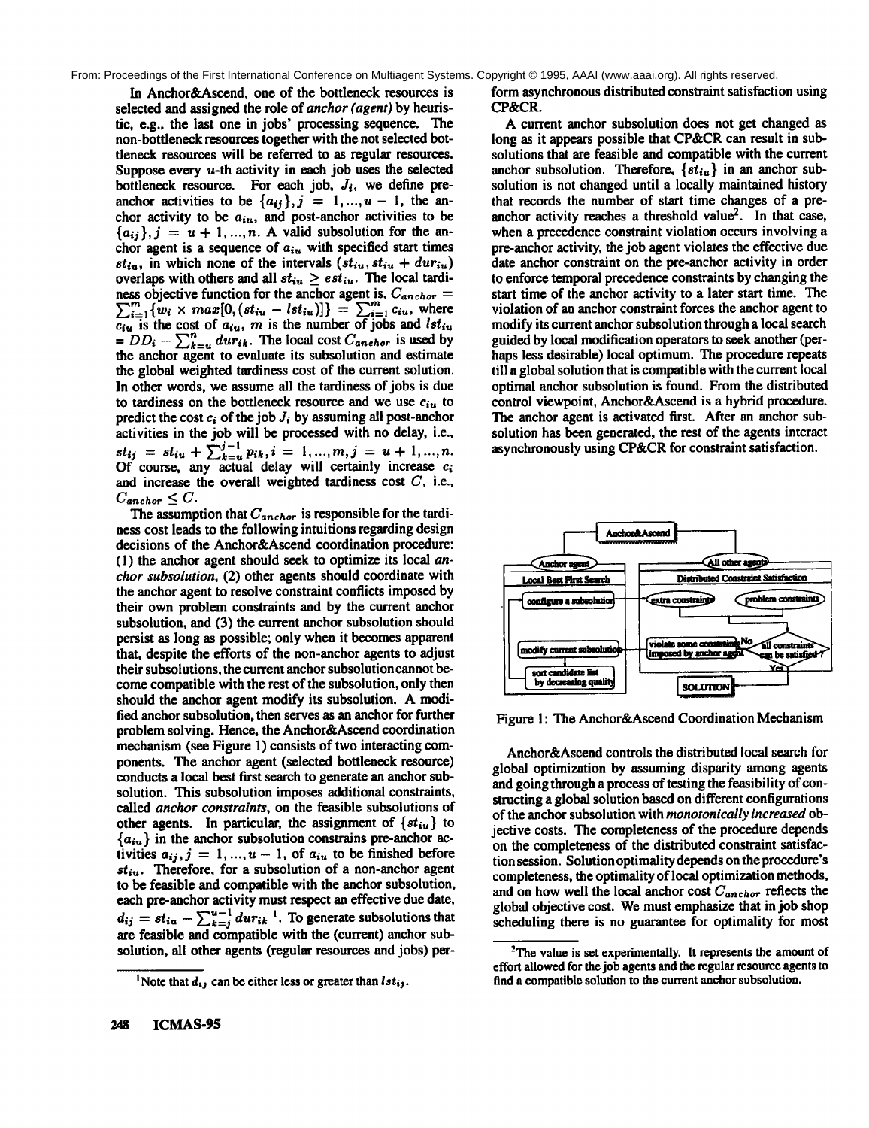From: Proceedings of the First International Conference on Multiagent Systems. Copyright © 1995, AAAI (www.aaai.org). All rights reserved.

In Anchor&Ascend, one of the bottleneck resources is selected and assigned the role of *anchor (agent)* by heuristic, e.g., the last one in jobs' processing sequence. The non-bottleneck resources together with the not selected bottleneck resources will be referred to as regular resources. Suppose every  $u$ -th activity in each job uses the selected bottleneck resource. For each job, *Ji,* we define preanchor activities to be  $\{a_{ij}\}\$ ,  $j = 1, ..., u - 1$ , the anchor activity to be  $a_{iu}$ , and post-anchor activities to be  ${a_{ij}}$ ,  $j = u + 1, ..., n$ . A valid subsolution for the anchor agent is a sequence of  $a_{iu}$  with specified start times  $st_{iu}$ , in which none of the intervals  $(st_{iu}, st_{iu} + dur_{iu})$ overlaps with others and all  $st_{iu} \geq est_{iu}$ . The local tardiness objective function for the anchor agent is, *Canehor =*  $\sum_{i=1}^{n} \{w_i \times max[0, (s_i, i-1, s_i)]\} = \sum_{i=1}^{n} c_i u_i$ , where  $c_{i\mu}$  is the cost of  $a_{i\mu}$ , m is the number of jobs and *Ist<sub>i</sub>*  $= DD_i - \sum_{k=0}^{n} dur_{ik}$ . The local cost *Canehor* is used by the anchor agent to evaluate its subsolution and estimate the global weighted tardiness cost of the current solution. In other words, we assume all the tardiness of jobs is due to tardiness on the bottleneck resource and we use  $c_{iu}$  to predict the cost  $c_i$  of the job  $J_i$  by assuming all post-anchor activities in the job will be processed with no delay, i.e.,  $st_{ij} = st_{iu} + \sum_{k=u}^{j-1} p_{ik}, i = 1, ..., m, j = u + 1, ..., n.$ Of course, any actual delay will certainly increase *ei* and increase the overall weighted tardiness cost  $C$ , i.e.,  $C_{anchor} \leq C.$ 

The assumption that *Canchor* is responsible for the tardiness cost leads to the following intuitions regarding design decisions of the Anchor&Ascend coordination procedure: (1) the anchor agent should seek to optimize its local *anchor subsolution,* (2) other agents should coordinate with the anchor agent to resolve constraint conflicts imposed by their own problem constraints and by the current anchor subsolution, and (3) the current anchor subsolution should persist as long as possible; only when it becomes apparent that, despite the efforts of the non-anchor agents to adjust their subsolutions, the current anchor subsolution cannot become compatible with the rest of the subsolution, only then should the anchor agent modify its subsolution. A modified anchor subsolution, then serves as an anchor for further problem solving. Hence, the Anchor&Ascend coordination mechanism (see Figure 1) consists of two interacting components. The anchor agent (selected bottleneck resource) conducts a local best first search to generate an anchor subsolution. This subsolution imposes additional constraints, called *anchor constraints,* on the feasible subsolutions of other agents. In particular, the assignment of  $\{st_{iu}\}\$ to  ${a_{iu}}$  in the anchor subsolution constrains pre-anchor activities  $a_{ij}$ ,  $j = 1, ..., u - 1$ , of  $a_{iu}$  to be finished before *stiu.* Therefore, for a subsolution of a non-anchor agent to be feasible and compatible with the anchor subsolution, each pre-anchor activity must respect an effective due date,  $d_{ij}=st_{iu}-\sum_{k=i}^{u-1}dur_{ik}^{-1}$ . To generate subsolutions that are feasible and compatible with the (current) anchor subsolution, all other agents (regular resources and jobs) perform asynchronous distributed constraint satisfaction using CP&CR.

A current anchor subsolution does not get changed as long as it appears possible that CP&CR can result in subsolutions that are feasible and compatible with the current anchor subsolution. Therefore,  $\{st_{iu}\}\$ in an anchor subsolution is not changed until a locally maintained history that records the number of start time changes of a preanchor activity reaches a threshold value<sup>2</sup>. In that case, when a precedence constraint violation occurs involving a pre-anchor activity, the job agent violates the effective due date anchor constraint on the pre-anchor activity in order to enforce temporal precedence constraints by changing the start time of the anchor activity to a later start time. The violation of an anchor constraint forces the anchor agent to modify its current anchor subsolution through a local search guided by local modification operators to seek another (perhaps less desirable) local optimum. The procedure repeats till a global solution that is compatible with the current local optimal anchor subsolution is found. From the distributed control viewpoint, Anchor&Ascend is a hybrid procedure. The anchor agent is activated first. After an anchor subsolution has been generated, the rest of the agents interact asynchronously using CP&CR for constraint satisfaction.



Figure 1: The Anchor&Ascend Coordination Mechanism

Anchor&Ascend controls the distributed local search for global optimization by assuming disparity among agents and going through a process of testing the feasibility of constructing a global solution based on different configurations of the anchor subsolution with *monotonically increased* objective costs. The completeness of the procedure depends on the completeness of the distributed constraint satisfaction session. Solution optimality depends on the procedure's completeness, the optimality of local optimization methods, and on how well the local anchor cost *Canchor* reflects the global objective cost. We must emphasize that in job shop scheduling there is no guarantee for optimality for most

**<sup>&</sup>lt;sup>1</sup>Note that**  $d_{ij}$  **can be either less or greater than**  $lst_{ij}$ **.** 

 $2$ The value is set experimentally. It represents the amount of effort allowed for the job agents and the regular resource agents to find a compatible solution to the current anchor subsolution.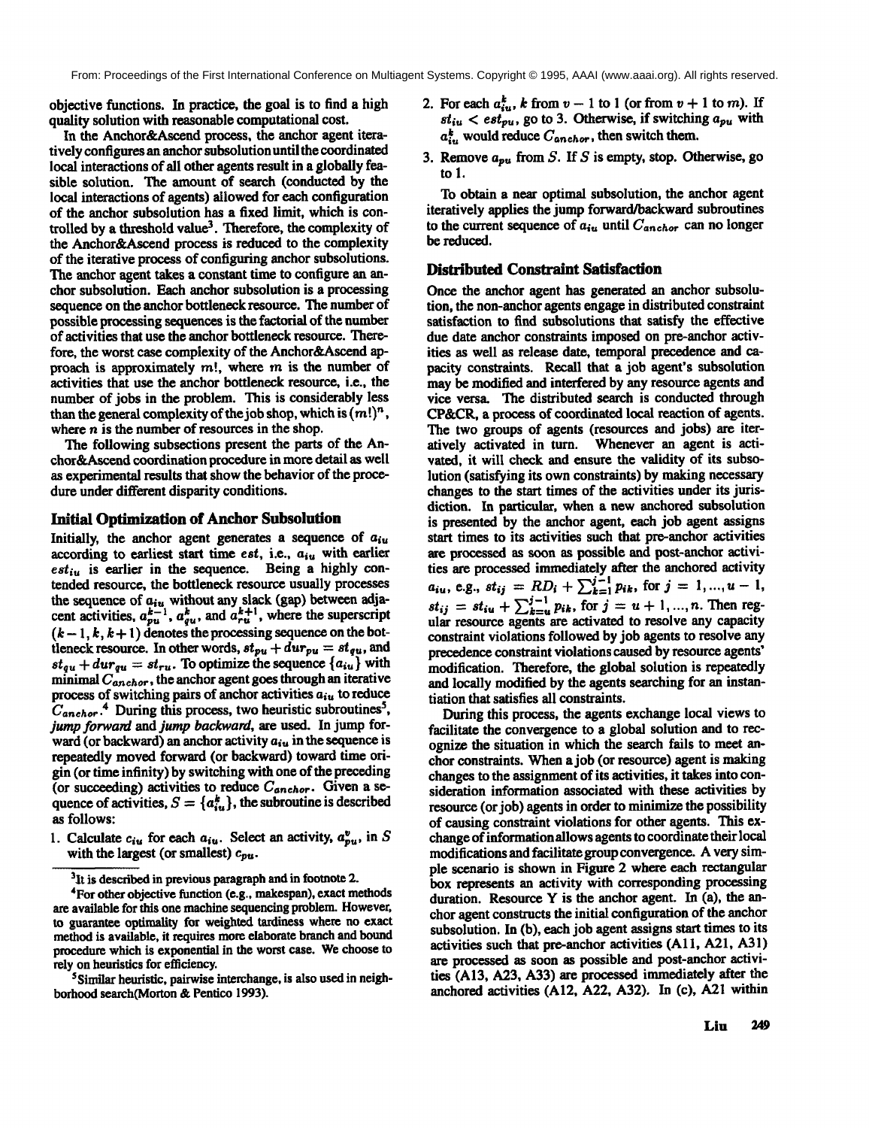objective functions. In practice, the goal is to find a high quality solution with reasonable computational cost.

In the Anchor&Ascend process, the anchor agent iteratively configures an anchor subsolution until the coordinated local interactions of all other agents result in a globally feasible solution. The amount of search (conducted by the local interactions of agents) allowed for each configuration of the anchor subsolution has a fixed limit, which is controlled by a threshold value<sup>3</sup>. Therefore, the complexity of the Anchor&Ascend process is reduced to the complexity of the iterative process of configuring anchor subsolutions. The anchor agent takes a constant time to configure an anchor subsolution. Each anchor subsolution is a processing sequence on the anchor bottleneck resource. The number of possible processing sequences is the factorial of the number of activities that use the anchor bottleneck resource. Therefore, the worst case complexity of the Anchor&Ascend approach is approximately  $m!$ , where  $m$  is the number of activities that use the anchor bottleneck resource, i.e., the number of jobs in the problem. This is considerably less than the general complexity of the job shop, which is  $(m!)^n$ , where  $n$  is the number of resources in the shop.

The following subsections present the parts of the Anchor&Ascend coordination procedure in more detail as well as experimental results that show the behavior of the procedure under different disparity conditions.

#### Initial Optimization of Anchor Subsolution

Initially, the anchor agent generates a sequence of *aiu* according to earliest start time est, i.e., *aiu* with earlier  $est_{iu}$  is earlier in the sequence. Being a highly contended resource, the bottleneck resource usually processes the sequence of  $a_{iu}$  without any slack (gap) between adjacent activities,  $a_{pu}^{k-1}$ ,  $a_{qu}^k$ , and  $a_{ru}^{k+1}$ , where the superscript  $(k-1, k, k+1)$  denotes the processing sequence on the bottleneck resource. In other words,  $st_{pu} + dur_{pu} = st_{qu}$ , and  $st_{qu} + dur_{qu} = st_{ru}$ . To optimize the sequence  $\{a_{iu}\}$  with minimal *Canehor,* the anchor agent goes through an iterative process of switching pairs of anchor activities *aiu to* reduce  $C_{anchor}$ <sup>4</sup> During this process, two heuristic subroutines<sup>5</sup>, *jump forward* and *jump backward,* are used. In jump forward (or backward) an anchor activity  $a_{iu}$  in the sequence is repeatedly moved forward (or backward) toward time origin (or time infinity) by switching with one of the preceding (or succeeding) activities to reduce *Canehor.* Given a sequence of activities,  $S = \{a_{in}^k\}$ , the subroutine is described as follows:

1. Calculate  $c_{iu}$  for each  $a_{iu}$ . Select an activity,  $a_{vu}^v$ , in S with the largest (or smallest)  $c_{pu}$ .

- 2. For each  $a_{in}^k$ , k from  $v-1$  to 1 (or from  $v+1$  to m). If *sfiu < estpu,* go to 3. Otherwise, if switching *apu* with  $a_{in}^{k}$  would reduce  $C_{anchor}$ , then switch them.
- 3. Remove  $a_{pu}$  from S. If S is empty, stop. Otherwise, go to 1.

To obtain a near optimal subsolution, the anchor agent iteratively applies the jump forward/backward subroutines to the current sequence of  $a_{iu}$  until  $C_{anchor}$  can no longer be reduced.

# Distributed Constraint Satisfaction

Once the anchor agent has generated an anchor subsolution, the non-anchor agents engage in distributed constraint satisfaction to find subsolutions that satisfy the effective due date anchor constraints imposed on pre-anchor activities as well as release date, temporal precedence and capacity constraints. Recall that a job agent's subsolution may be modified and interfered by any resource agents and vice versa. The distributed search is conducted through CP&CR, a process of coordinated local reaction of agents. The two groups of agents (resources and jobs) are iteratively activated in turn. Whenever an agent is activated, it will check and ensure the validity of its subsolution (satisfying its own constraints) by making necessary changes to the start times of the activities under its jurisdiction. In particular, when a new anchored subsolution is presented by the anchor agent, each job agent assigns start times to its activities such that pre-anchor activities are processed as soon as possible and post-anchor activities are processed immediately after the anchored activity  $a_{iu}$ , e.g.,  $st_{ij} = RD_i + \sum_{k=1}^{j-1} p_{ik}$ , for  $j = 1, ..., u-1$  $st_{ij} = st_{iu} + \sum_{k=u}^{j-1} p_{ik}$ , for  $j = u + 1, ..., n$ . Then regular resource agents are activated to resolve any capacity constraint violations followed by job agents to resolve any precedence constraint violations caused by resource agents" modification. Therefore, the global solution is repeatedly and locally modified by the agents searching for an instantiation that satisfies all constraints.

During this process, the agents exchange local views to facilitate the convergence to a global solution and to recognize the situation in which the search falls to meet anchor constraints. When a job (or resource) agent is making changes to the assignment of its activities, it takes into consideration information associated with these activities by resource (or job) agents in order to minimize the possibility of causing constraint violations for other agents. This exchange of information allows agents to coordinate their local modifications and facilitate group convergence. A very simple scenario is shown in Figure 2 where each rectangular box represents an activity with corresponding processing duration. Resource Y is the anchor agent. In (a), the anchor agent constructs the initial configuration of the anchor subsolution. In (b), each job agent assigns start times to its activities such that pre-anchor activities (AI I, A21, A31) are processed as soon as possible and post-anchor activities (AI3, A23, A33) are processed immediately after the anchored activities (AI2, A22, A32). In (c), A21 within

<sup>&</sup>lt;sup>3</sup>It is described in previous paragraph and in footnote 2.

<sup>+</sup>For other objective function (e.g., nmkespan), exact methods are available for this one machine sequencing problem. However, to guarantee optimality for weighted tardiness where no exact method is available, it requires more elaborate branch and bound procedure which is exponential in the worst case. We choose to rely on heuristics for efficiency.

<sup>&</sup>lt;sup>5</sup>Similar heuristic, pairwise interchange, is also used in neighborhood search(Morton & Pentico 1993).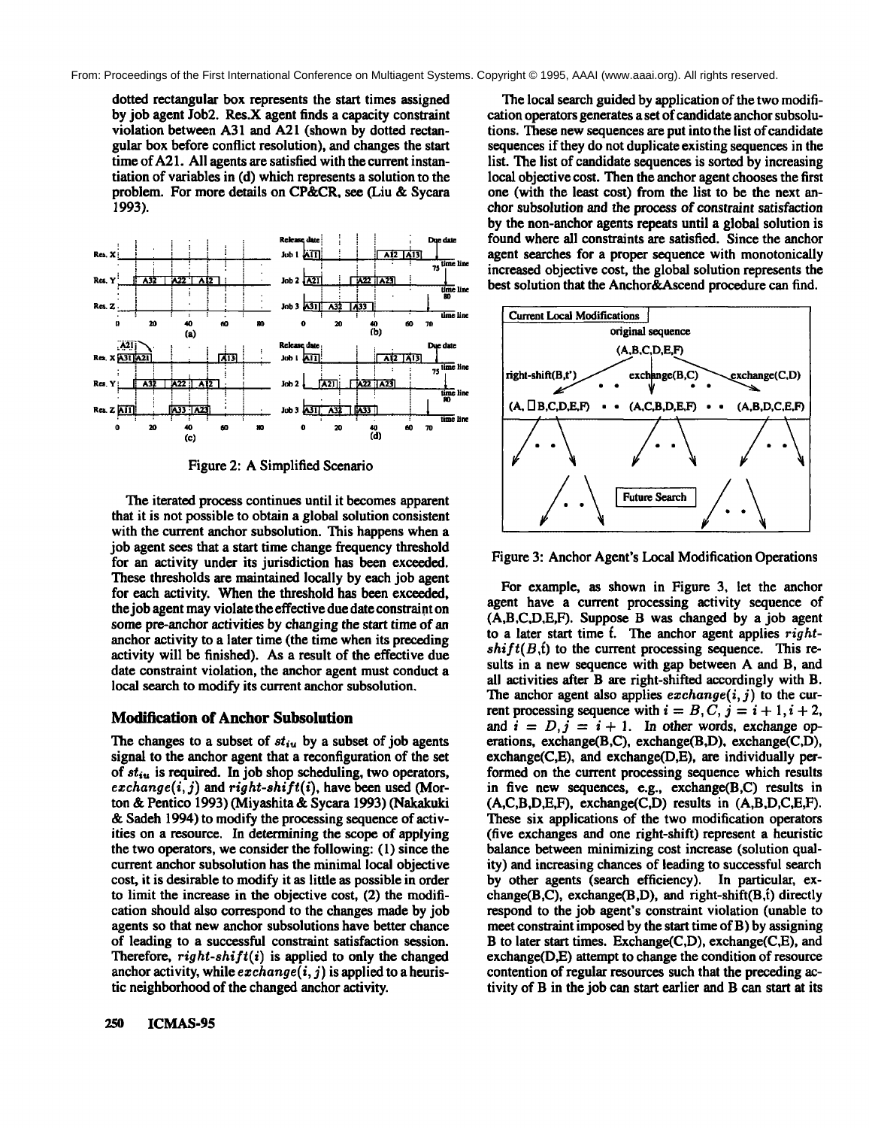From: Proceedings of the First International Conference on Multiagent Systems. Copyright © 1995, AAAI (www.aaai.org). All rights reserved.

dotted rectangular box represents the start times assigned by job agent Job2. Res.X agent finds a capacity constraint violation between A31 and A21 (shown by dotted rectangular box before conflict resolution), and changes the start time of A21. All agents are satisfied with the current instantiation of variables in (d) which represents a solution to the problem. For more details on CP&CR, see (Liu & Sycara 1993).



Figure 2: A Simplified Scenario

The iterated process continues until it becomes apparent that it is not possible to obtain a global solution consistent with the current anchor subsolution. This happens when a job agent sees that a start time change frequency threshold for an activity under its jurisdiction has been exceeded. These thresholds are maintained locally by each job agent for each activity. When the threshold has been exceeded, the job agent may violate the effective due date constraint on some pre-anchor activities by changing the start time of an anchor activity to a later time (the time when its preceding activity will be finished). As a result of the effective due date constraint violation, the anchor agent must conduct a local search to modify its current anchor subsolution.

### Modification of Anchor Subsolution

The changes to a subset of  $st_{iu}$  by a subset of job agents signal to the anchor agent that a reconfiguration of the set of  $st_{iu}$  is required. In job shop scheduling, two operators, *exchange(i, j) and right-shift(i),* have been used (Morton & Pentico 1993) (Miyashita & Sycara 1993) (Nakakuki & Sadeh 1994) to modify the processing sequence of activities on a resource. In determining the scope of applying the two operators, we consider the following: (1) since the current anchor subsolution has the minimal local objective cost, it is desirable to modify it as little as possible in order to limit the increase in the objective cost, (2) the modification should also correspond to the changes made by job agents so that new anchor subsolutions have better chance of leading to a successful constraint satisfaction session. Therefore, *right-shift(i)* is applied to only the changed anchor activity, while *exchange(i, j)* is applied to a heuristic neighborhood of the changed anchor activity.

The local search guided by application of the two modification operators generates a set of candidate anchor subsolutions. These new sequences are put into the list of candidate sequences if they do not duplicate existing sequences in the list. The list of candidate sequences is sorted by increasing local objective cost. Then the anchor agent chooses the first one (with the least cost) from the list to be the next anchor subsolution and the process of constraint satisfaction by the non-anchor agents repeats until a global solution is found where all constraints are satisfied. Since the anchor agent searches for a proper sequence with monotonically increased objective cost, the global solution represents the best solution that the Anchor&Ascend procedure can find.



Figure 3: Anchor Agent's Local Modification Operations

For example, as shown in Figure 3, let the anchor agent have a current processing activity sequence of (A,B,C,D,E,F). Suppose B was changed by a job agent to a later start time {. The anchor agent applies *right* $shift(B,f)$  to the current processing sequence. This resuits in a new sequence with gap between A and B, and all activities after B are right-shifted accordingly with B. The anchor agent also applies *exchange(i, j)* to the current processing sequence with  $i = B, C, j = i + 1, i + 2$ , and  $i = D, j = i + 1$ . In other words, exchange operations, exchange(B,C), exchange(B,D), exchange(C,D),  $exchange(C,E)$ , and  $exchange(D,E)$ , are individually performed on the current processing sequence which results in five new sequences, e.g., exchange(B,C) results in  $(A, C, B, D, E, F)$ , exchange $(C, D)$  results in  $(A, B, D, C, E, F)$ . These six applications of the two modification operators (five exchanges and one right-shift) represent a heuristic balance between minimizing cost increase (solution quality) and increasing chances of leading to successful search by other agents (search efficiency). In particular, exchange( $B, C$ ), exchange( $B, D$ ), and right-shift( $B, f$ ) directly respond to the job agent's constraint violation (unable to meet constraint imposed by the start time of B) by assigning B to later start times. Exchange $(C,D)$ , exchange $(C,E)$ , and exchange(D,E) attempt to change the condition of resource contention of regular resources such that the preceding activity of B in the job can start earlier and B can start at its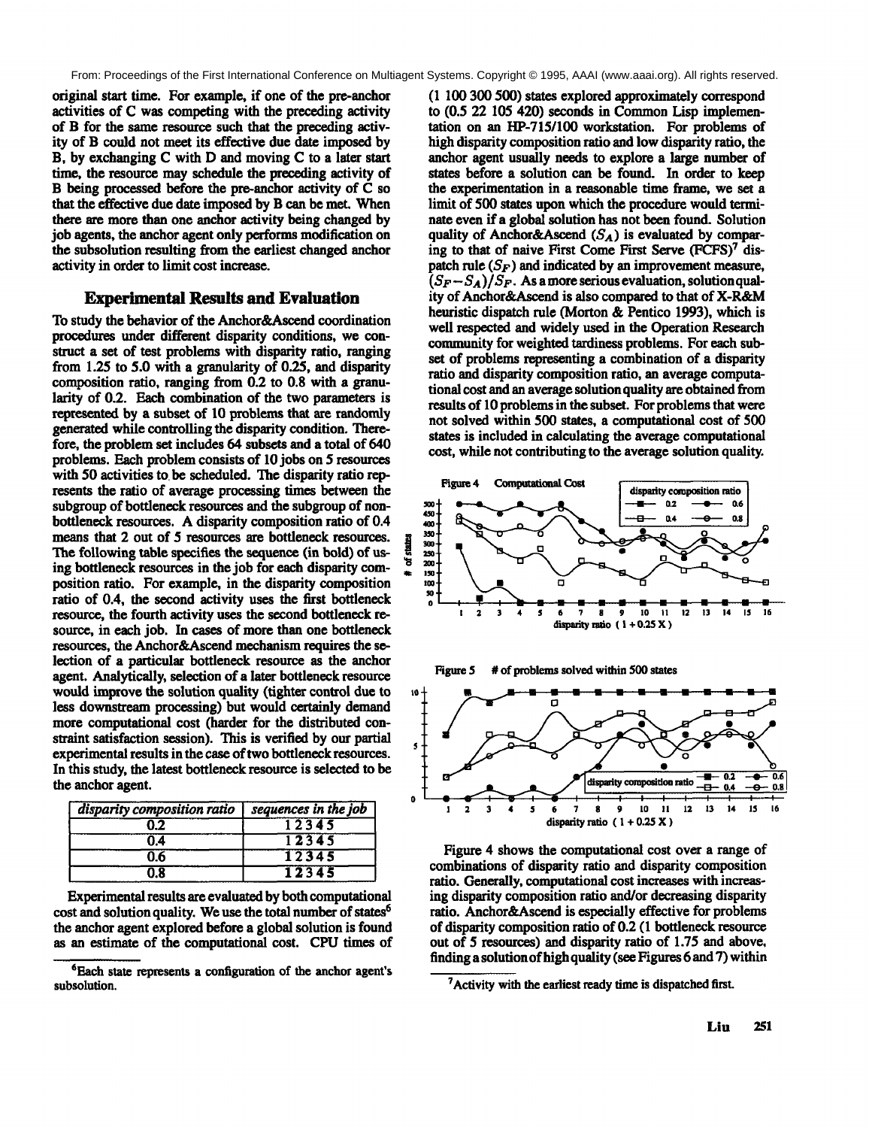original start time. For example, if one of the pre-anchor activities of C was competing with the preceding activity of B for the same resource such that the preceding activity of B could not meet its effective due date imposed by B, by exchanging C with D and moving C to a later start time, the resource may schedule the preceding activity of B being processed before the pre\*anchor activity of C so that the effective due date imposed by B can be met. When there are more than one anchor activity being changed by job agents, the anchor agent only performs modification on the subsolution resulting from the earliest changed anchor activity in order to limit cost increase.

### **Experimental Results and Evaluation**

To study the behavior of the Anchor&Ascend coordination procedures under different disparity conditions, we construct a set of test problems with disparity ratio, ranging from 1.25 to 5.0 with a granularity of 0.25, and disparity composition ratio, ranging from 0.2 to 0.8 with a granularity of 0.2. Each combination of the two parameters is represented by a subset of 10 problems that are randomly generated while controlling the disparity condition. Therefore, the problem set includes 64 subsets and a total of 640 problems. Each problem consists of 10jobs on 5 resources with 50 activities to be scheduled. The disparity ratio represents the ratio of average processing times between the subgroup of bottleneck resources and the subgroup of nonbottleneck resources. A disparity composition ratio of 0.4 means that 2 out of 5 resources are bottleneck resources. The following table specifies the sequence (in bold) of using bottleneck resources in the job for each disparity composition ratio. For example, in the disparity composition ratio of 0.4, the second activity uses the first bottleneck resource, the fourth activity uses the second bottleneck resource, in each job. In cases of more than one bottleneck resources, the Anchor&Ascend mechanism requires the selection of a particular bottleneck resource as the anchor agent. Analytically, selection of a later bottleneck resource would improve the solution quality (tighter control due to less downstream processing) but would certainly demand more computational cost (harder for the distributed constraint satisfaction session). This is verified by our partial experimental results in the case of two bottleneck resources. In this study, the latest bottleneck resource is selected to be the anchor agent.

| disparity composition ratio | sequences in the job |
|-----------------------------|----------------------|
| 9.2                         | 12345                |
| 0.4                         | 12345                |
| 0.6                         | 12345                |
|                             | 12345                |

Experimental results are evaluated by both computational cost and solution quality. We use the total number of states<sup>6</sup> the anchor agent explored before a global solution is found as an estimate of the computational cost. CPU times of (1 100 300 500) states explored approximately correspond to (0.5 22 105 420) seconds in Common Lisp implementation on an HP-715/100 workstation. For problems of high disparity composition ratio and low disparity ratio, the anchor agent usually needs to explore a large number of states before a solution can be found. In order to keep the experimentation in a reasonable time frame, we set a limit of 500 states upon which the procedure would terminate even if a global solution has not been found. Solution quality of Anchor&Ascend  $(S_A)$  is evaluated by comparing to that of naive First Come First Serve (FCFS)<sup>7</sup> dispatch rule  $(S_F)$  and indicated by an improvement measure,  $(S_F-S_A)/S_F$ . As a more serious evaluation, solution quality of Anchor&Ascend is also compared to that of X-R&M heuristic dispatch rule (Morton & Pentico 1993), which is well respected and widely used in the Operation Research community for weighted tardiness problems. For each subset of problems representing a combination of a disparity ratio and disparity composition ratio, an average computational cost and an average solution quality are obtained from results of 10 problems in the subset. For problems that were not solved within 500 states, a computational cost of 500 states is included in calculating the average computational cost, while not contributing to the average solution quality.



Figure 5 # of problems solved within 500 states



Figure 4 shows the computational cost over a range of combinations of disparity ratio and disparity composition ratio. Generally, computational cost increases with increasing disparity composition ratio and/or decreasing disparity ratio. Anchor&Ascend is especially effective for problems of disparity composition ratio of 0.2 (1 bottleneck resource out of 5 resources) and disparity ratio of 1.75 and above, finding a solution of high quality (see Figures 6 and 7) within

<sup>&</sup>lt;sup>6</sup>Each state represents a configuration of the anchor agent's subsolution.

 $<sup>7</sup>$  Activity with the earliest ready time is dispatched first.</sup>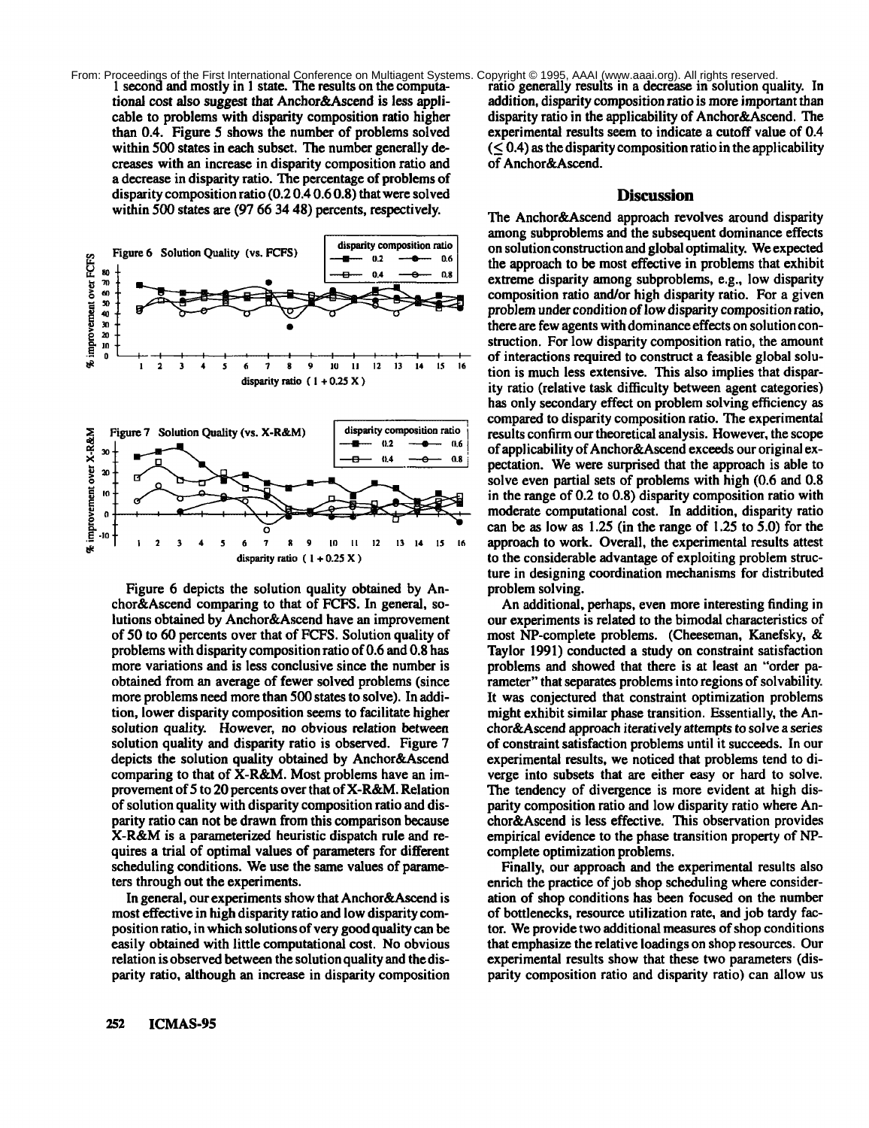From: Proceedings of the First International Conference on Multiagent Systems. Copyright © 1995, AAAI (www.aaai.org). All rights reserved.<br>I **second and mostly in 1 state. The results on the computa- ratio generally resu** tional cost also suggest that Anchor&Ascend is less applicable to problems with disparity composition ratio higher than 0.4. Figure 5 shows the number of problems solved within 500 states in each subset. The number generally decreases with an increase in disparity composition ratio and a decrease in disparity ratio. The percentage of problems of disparity composition ratio (0.2 0.4 0.6 0.8) that were solved within 500 states are (97 66 34 48) percents, respectively.



Figure 6 depicts the solution quality obtained by Anchor&Ascend comparing to that of FCFS. In general, solutions obtained by Anchor&Ascend have an improvement of 50 to 60 percents over that of FCFS. Solution quality of problems with disparity composition ratio of 0.6 and 0.8 has more variations and is less conclusive since the number is obtained from an average of fewer solved problems (since more problems need more than 500 states to solve). In addition, lower disparity composition seems to facilitate higher solution quality. However, no obvious relation between solution quality and disparity ratio is observed. Figure 7 depicts the solution quality obtained by Anchor&Ascend comparing to that of X-R&M. Most problems have an improvement of 5 to 20 percents over that of X-R&M. Relation of solution quality with disparity composition ratio and disparity ratio can not be drawn from this comparison because X-R&M is a parameterized heuristic dispatch rule and requires a trial of optimal values of parameters for different scheduling conditions. We use the same values of parameters through out the experiments.

In general, our experiments show that Anchor&Ascend is most effective in high disparity ratio and low disparity composition ratio, in which solutions of very good quality can be easily obtained with little computational cost. No obvious relation is observed between the solution quality and the disparity ratio, although an increase in disparity composition

ratio generally results in a decrease in solution quality. In addition, disparity composition ratio is more important than disparity ratio in the applicability of Anchor&Ascend. The experimental results seem to indicate a cutoff value of 0.4  $(\leq 0.4)$  as the disparity composition ratio in the applicability of Anchor&Ascend.

### **Discussion**

The Anchor&Ascend approach revolves around disparity among subproblems and the subsequent dominance effects on solution construction and global optimality. We expected the approach to be most effective in problems that exhibit extreme disparity among subproblems, e.g., low disparity composition ratio and/or high disparity ratio. For a given problem under condition of low disparity composition ratio, there are few agents with dominance effects on solution construction. For low disparity composition ratio, the amount of interactions required to construct a feasible global solution is much less extensive. This also implies that disparity ratio (relative task difficulty between agent categories) has only secondary effect on problem solving efficiency as compared to disparity composition ratio. The experimental results confirm our theoretical analysis. However, the scope of applicability of Anchor&Ascend exceeds our original expectation. We were surprised that the approach is able to solve even partial sets of problems with high (0.6 and 0.8 in the range of 0.2 to 0.8) disparity composition ratio with moderate computational cost. In addition, disparity ratio can be as low as 1.25 (in the range of 1.25 to 5.0) for the approach to work. Overall, the experimental results attest to the considerable advantage of exploiting problem structure in designing coordination mechanisms for distributed problem solving.

An additional, perhaps, even more interesting finding in our experiments is related to the bimodal characteristics of most NP-complete problems. (Cheeseman, Kanefsky, Taylor 1991) conducted a study on constraint satisfaction problems and showed that there is at least an "order parameter" that separates problems into regions of solvability. It was conjectured that constraint optimization problems might exhibit similar phase transition. Essentially, the Anchor&Ascend approach iteratively attempts to solve a series of constraint satisfaction problems until it succeeds. In our experimental results, we noticed that problems tend to diverge into subsets that are either easy or hard to solve. The tendency of divergence is more evident at high disparity composition ratio and low disparity ratio where Anchor&Ascend is less effective. This observation provides empirical evidence to the phase transition property of NPcomplete optimization problems.

Finally, our approach and the experimental results also enrich the practice of job shop scheduling where consideration of shop conditions has been focused on the number of bottlenecks, resource utilization rate, and job tardy factor. We provide two additional measures of shop conditions that emphasize the relative Ioadings on shop resources. Our experimental results show that these two parameters (disparity composition ratio and disparity ratio) can allow us